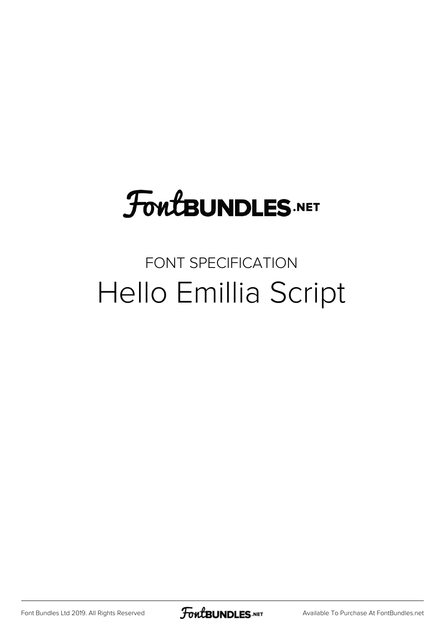## **FoutBUNDLES.NET**

## FONT SPECIFICATION Hello Emillia Script

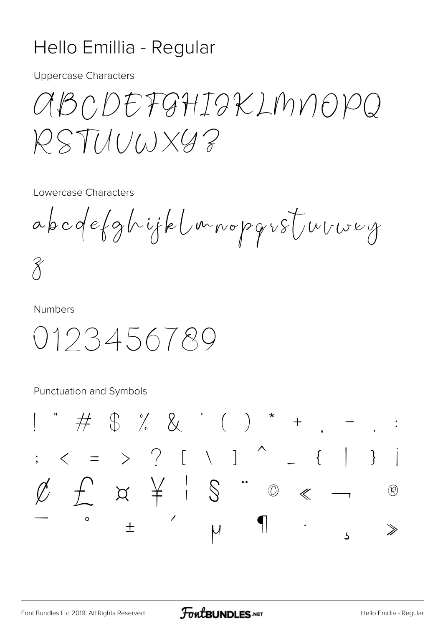## Hello Emillia - Regular

**Uppercase Characters** 

aBCDEFGHIGKLMNOPQ  $PSTHUWXGB$ 

Lowercase Characters

abcdefghijklmnopgr8Turwey  $\widetilde{\mathcal{X}}$ 

**Numbers** 

0123456789

Punctuation and Symbols

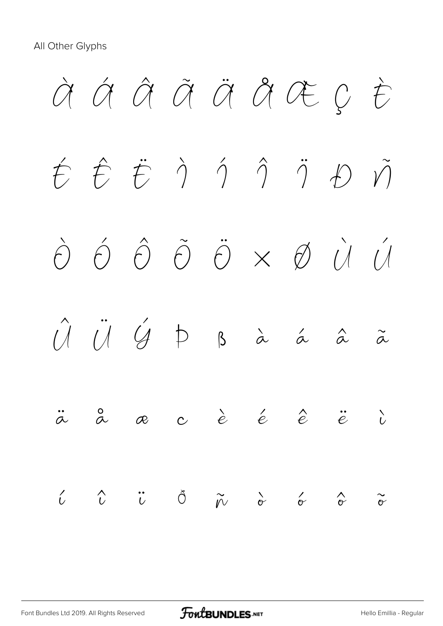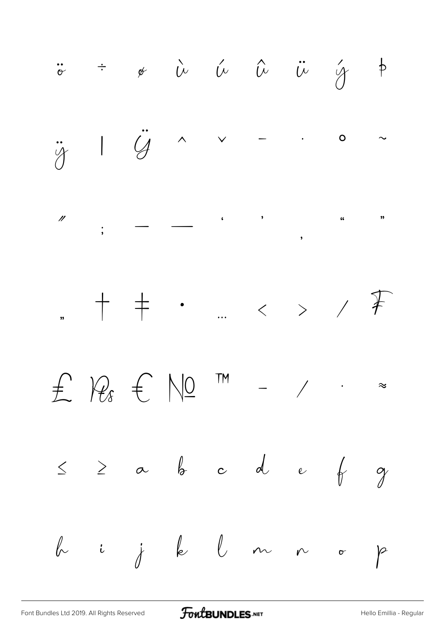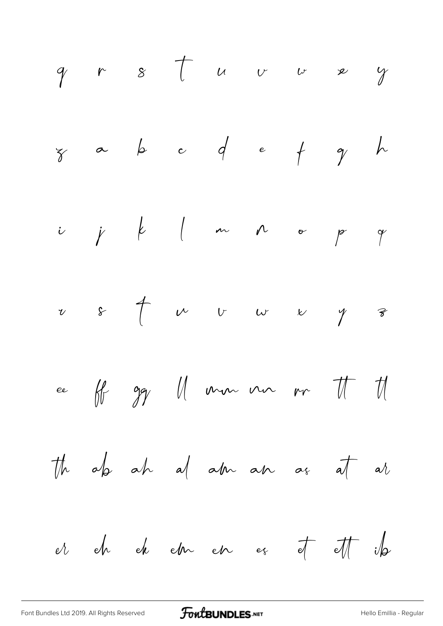[Font Bundles Ltd 2019. All Rights Reserved](https://fontbundles.net/) **FoutBUNDLES.NET** Font Bundles Ltd 2019. All Regular